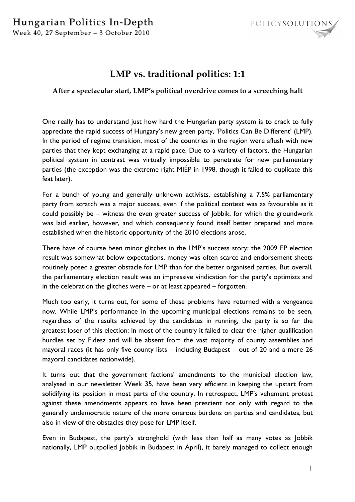

## **LMP vs. traditional politics: 1:1**

## **After a spectacular start, LMP's political overdrive comes to a screeching halt**

One really has to understand just how hard the Hungarian party system is to crack to fully appreciate the rapid success of Hungary's new green party, 'Politics Can Be Different' (LMP). In the period of regime transition, most of the countries in the region were aflush with new parties that they kept exchanging at a rapid pace. Due to a variety of factors, the Hungarian political system in contrast was virtually impossible to penetrate for new parliamentary parties (the exception was the extreme right MIÉP in 1998, though it failed to duplicate this feat later).

For a bunch of young and generally unknown activists, establishing a 7.5% parliamentary party from scratch was a major success, even if the political context was as favourable as it could possibly be – witness the even greater success of Jobbik, for which the groundwork was laid earlier, however, and which consequently found itself better prepared and more established when the historic opportunity of the 2010 elections arose.

There have of course been minor glitches in the LMP's success story; the 2009 EP election result was somewhat below expectations, money was often scarce and endorsement sheets routinely posed a greater obstacle for LMP than for the better organised parties. But overall, the parliamentary election result was an impressive vindication for the party's optimists and in the celebration the glitches were – or at least appeared – forgotten.

Much too early, it turns out, for some of these problems have returned with a vengeance now. While LMP's performance in the upcoming municipal elections remains to be seen, regardless of the results achieved by the candidates in running, the party is so far the greatest loser of this election: in most of the country it failed to clear the higher qualification hurdles set by Fidesz and will be absent from the vast majority of county assemblies and mayoral races (it has only five county lists – including Budapest – out of 20 and a mere 26 mayoral candidates nationwide).

It turns out that the government factions' amendments to the municipal election law, analysed in our newsletter Week 35, have been very efficient in keeping the upstart from solidifying its position in most parts of the country. In retrospect, LMP's vehement protest against these amendments appears to have been prescient not only with regard to the generally undemocratic nature of the more onerous burdens on parties and candidates, but also in view of the obstacles they pose for LMP itself.

Even in Budapest, the party's stronghold (with less than half as many votes as Jobbik nationally, LMP outpolled Jobbik in Budapest in April), it barely managed to collect enough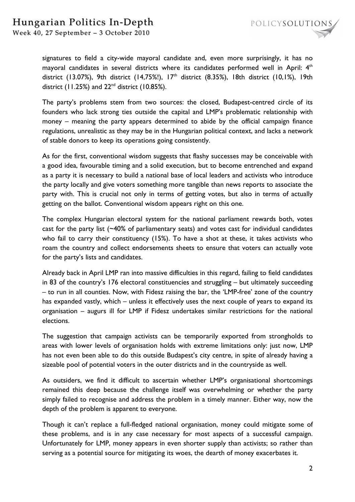## Hungarian Politics In-Depth

Week 40, 27 September - 3 October 2010

signatures to field a city-wide mayoral candidate and, even more surprisingly, it has no mayoral candidates in several districts where its candidates performed well in April:  $4<sup>th</sup>$ district (13.07%), 9th district (14,75%!),  $17<sup>th</sup>$  district (8.35%), 18th district (10,1%), 19th district (11.25%) and  $22<sup>nd</sup>$  district (10.85%).

The party's problems stem from two sources: the closed, Budapest-centred circle of its founders who lack strong ties outside the capital and LMP's problematic relationship with money – meaning the party appears determined to abide by the official campaign finance regulations, unrealistic as they may be in the Hungarian political context, and lacks a network of stable donors to keep its operations going consistently.

As for the first, conventional wisdom suggests that flashy successes may be conceivable with a good idea, favourable timing and a solid execution, but to become entrenched and expand as a party it is necessary to build a national base of local leaders and activists who introduce the party locally and give voters something more tangible than news reports to associate the party with. This is crucial not only in terms of getting votes, but also in terms of actually getting on the ballot. Conventional wisdom appears right on this one.

The complex Hungarian electoral system for the national parliament rewards both, votes cast for the party list (~40% of parliamentary seats) and votes cast for individual candidates who fail to carry their constituency (15%). To have a shot at these, it takes activists who roam the country and collect endorsements sheets to ensure that voters can actually vote for the party's lists and candidates.

Already back in April LMP ran into massive difficulties in this regard, failing to field candidates in 83 of the country's 176 electoral constituencies and struggling – but ultimately succeeding – to run in all counties. Now, with Fidesz raising the bar, the 'LMP-free' zone of the country has expanded vastly, which – unless it effectively uses the next couple of years to expand its organisation – augurs ill for LMP if Fidesz undertakes similar restrictions for the national elections.

The suggestion that campaign activists can be temporarily exported from strongholds to areas with lower levels of organisation holds with extreme limitations only: just now, LMP has not even been able to do this outside Budapest's city centre, in spite of already having a sizeable pool of potential voters in the outer districts and in the countryside as well.

As outsiders, we find it difficult to ascertain whether LMP's organisational shortcomings remained this deep because the challenge itself was overwhelming or whether the party simply failed to recognise and address the problem in a timely manner. Either way, now the depth of the problem is apparent to everyone.

Though it can't replace a full-fledged national organisation, money could mitigate some of these problems, and is in any case necessary for most aspects of a successful campaign. Unfortunately for LMP, money appears in even shorter supply than activists; so rather than serving as a potential source for mitigating its woes, the dearth of money exacerbates it.